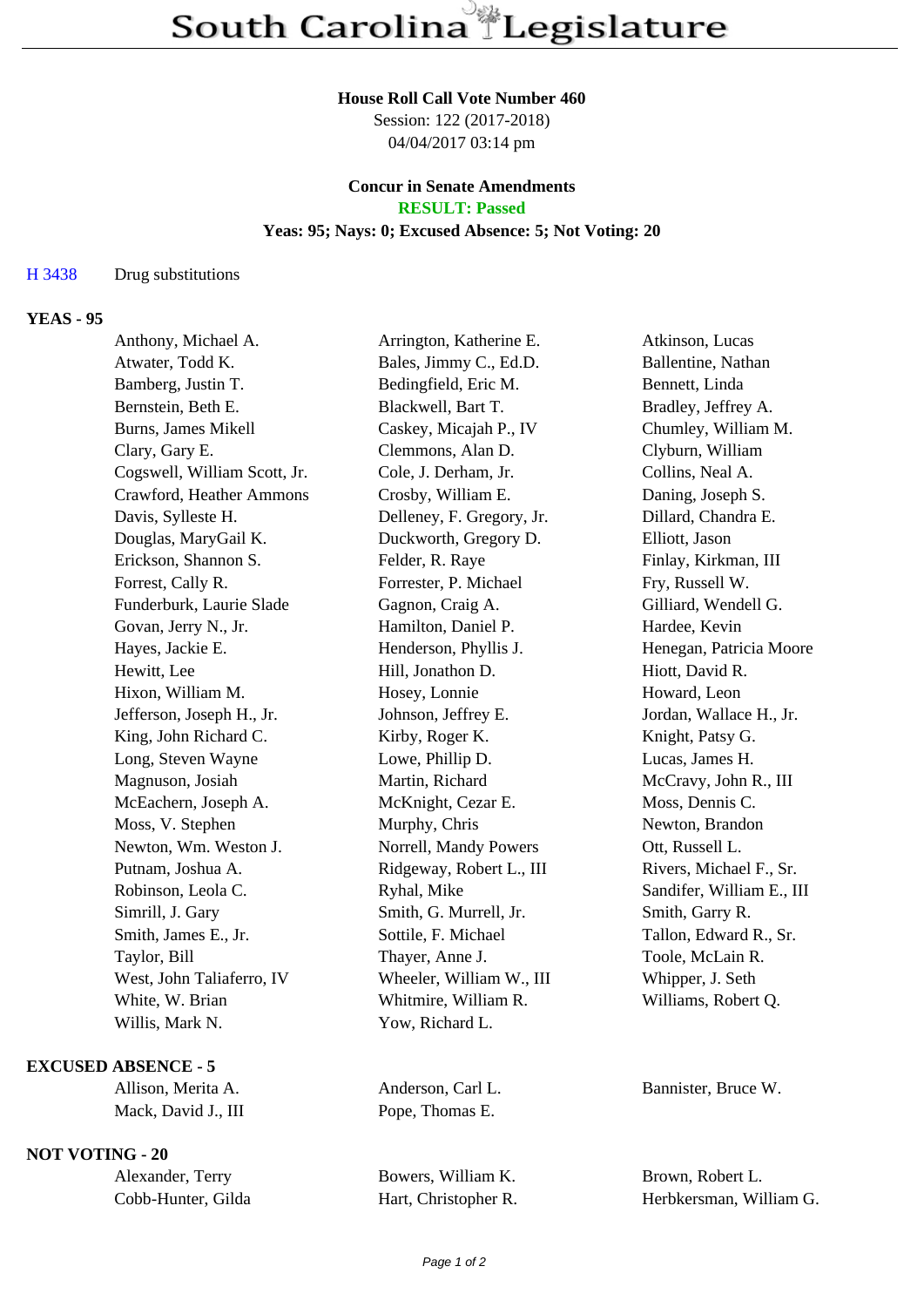#### **House Roll Call Vote Number 460**

Session: 122 (2017-2018) 04/04/2017 03:14 pm

# **Concur in Senate Amendments**

## **RESULT: Passed**

## **Yeas: 95; Nays: 0; Excused Absence: 5; Not Voting: 20**

#### H 3438 Drug substitutions

### **YEAS - 95**

| Anthony, Michael A.          | Arrington, Katherine E.   | Atkinson, Lucas           |
|------------------------------|---------------------------|---------------------------|
| Atwater, Todd K.             | Bales, Jimmy C., Ed.D.    | Ballentine, Nathan        |
| Bamberg, Justin T.           | Bedingfield, Eric M.      | Bennett, Linda            |
| Bernstein, Beth E.           | Blackwell, Bart T.        | Bradley, Jeffrey A.       |
| Burns, James Mikell          | Caskey, Micajah P., IV    | Chumley, William M.       |
| Clary, Gary E.               | Clemmons, Alan D.         | Clyburn, William          |
| Cogswell, William Scott, Jr. | Cole, J. Derham, Jr.      | Collins, Neal A.          |
| Crawford, Heather Ammons     | Crosby, William E.        | Daning, Joseph S.         |
| Davis, Sylleste H.           | Delleney, F. Gregory, Jr. | Dillard, Chandra E.       |
| Douglas, MaryGail K.         | Duckworth, Gregory D.     | Elliott, Jason            |
| Erickson, Shannon S.         | Felder, R. Raye           | Finlay, Kirkman, III      |
| Forrest, Cally R.            | Forrester, P. Michael     | Fry, Russell W.           |
| Funderburk, Laurie Slade     | Gagnon, Craig A.          | Gilliard, Wendell G.      |
| Govan, Jerry N., Jr.         | Hamilton, Daniel P.       | Hardee, Kevin             |
| Hayes, Jackie E.             | Henderson, Phyllis J.     | Henegan, Patricia Moore   |
| Hewitt, Lee                  | Hill, Jonathon D.         | Hiott, David R.           |
| Hixon, William M.            | Hosey, Lonnie             | Howard, Leon              |
| Jefferson, Joseph H., Jr.    | Johnson, Jeffrey E.       | Jordan, Wallace H., Jr.   |
| King, John Richard C.        | Kirby, Roger K.           | Knight, Patsy G.          |
| Long, Steven Wayne           | Lowe, Phillip D.          | Lucas, James H.           |
| Magnuson, Josiah             | Martin, Richard           | McCravy, John R., III     |
| McEachern, Joseph A.         | McKnight, Cezar E.        | Moss, Dennis C.           |
| Moss, V. Stephen             | Murphy, Chris             | Newton, Brandon           |
| Newton, Wm. Weston J.        | Norrell, Mandy Powers     | Ott, Russell L.           |
| Putnam, Joshua A.            | Ridgeway, Robert L., III  | Rivers, Michael F., Sr.   |
| Robinson, Leola C.           | Ryhal, Mike               | Sandifer, William E., III |
| Simrill, J. Gary             | Smith, G. Murrell, Jr.    | Smith, Garry R.           |
| Smith, James E., Jr.         | Sottile, F. Michael       | Tallon, Edward R., Sr.    |
| Taylor, Bill                 | Thayer, Anne J.           | Toole, McLain R.          |
| West, John Taliaferro, IV    | Wheeler, William W., III  | Whipper, J. Seth          |
| White, W. Brian              | Whitmire, William R.      | Williams, Robert Q.       |
| Willis, Mark N.              | Yow, Richard L.           |                           |
|                              |                           |                           |

#### **EXCUSED ABSENCE - 5**

Mack, David J., III Pope, Thomas E.

## **NOT VOTING - 20**

| Alexander, Terry   |  |  |
|--------------------|--|--|
| Cobb-Hunter, Gilda |  |  |

Allison, Merita A. Anderson, Carl L. Bannister, Bruce W.

Bowers, William K. Brown, Robert L.

Hart, Christopher R. Herbkersman, William G.